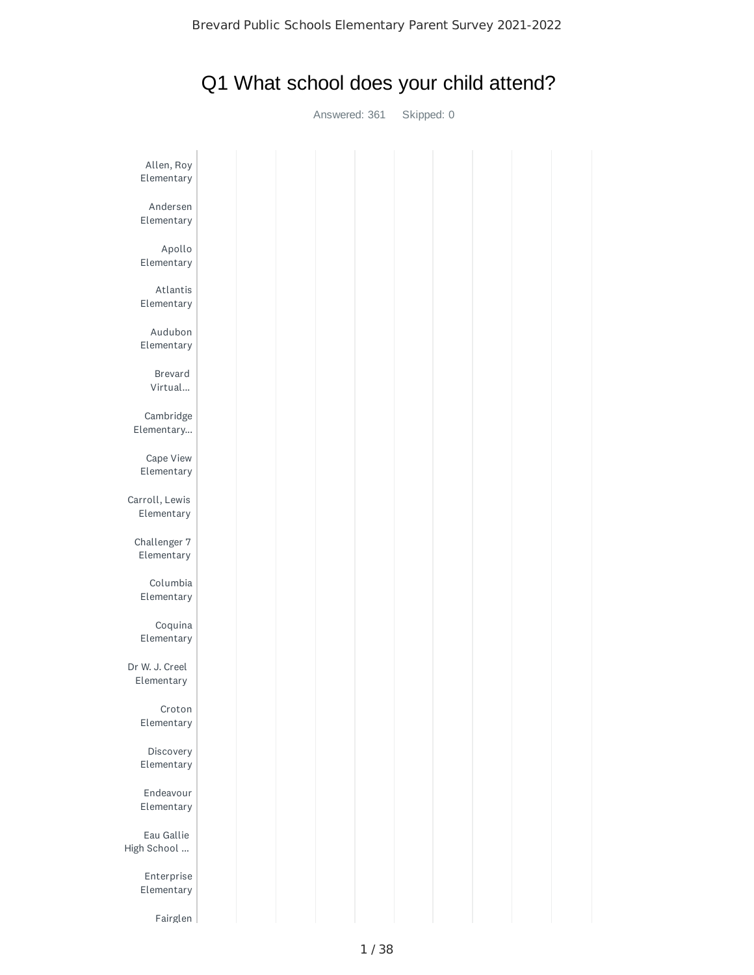# Q1 What school does your child attend?

Answered: 361 Skipped: 0

| Allen, Roy<br>Elementary     |  |  |  |
|------------------------------|--|--|--|
| Andersen<br>Elementary       |  |  |  |
| Apollo<br>Elementary         |  |  |  |
| Atlantis<br>Elementary       |  |  |  |
| Audubon<br>Elementary        |  |  |  |
| Brevard<br>Virtual           |  |  |  |
| Cambridge<br>Elementary      |  |  |  |
| Cape View<br>Elementary      |  |  |  |
| Carroll, Lewis<br>Elementary |  |  |  |
| Challenger 7<br>Elementary   |  |  |  |
| Columbia<br>Elementary       |  |  |  |
| Coquina<br>Elementary        |  |  |  |
| Dr W. J. Creel<br>Elementary |  |  |  |
| Croton<br>Elementary         |  |  |  |
| Discovery<br>Elementary      |  |  |  |
| Endeavour<br>Elementary      |  |  |  |
| Eau Gallie<br>High School    |  |  |  |
| Enterprise<br>Elementary     |  |  |  |
| Fairglen                     |  |  |  |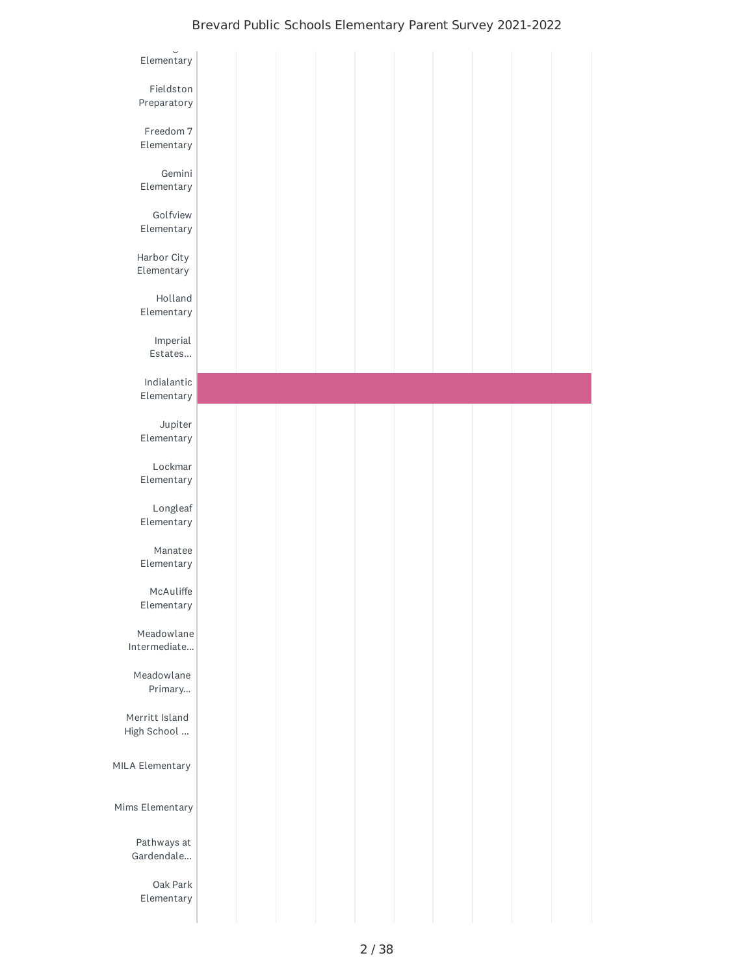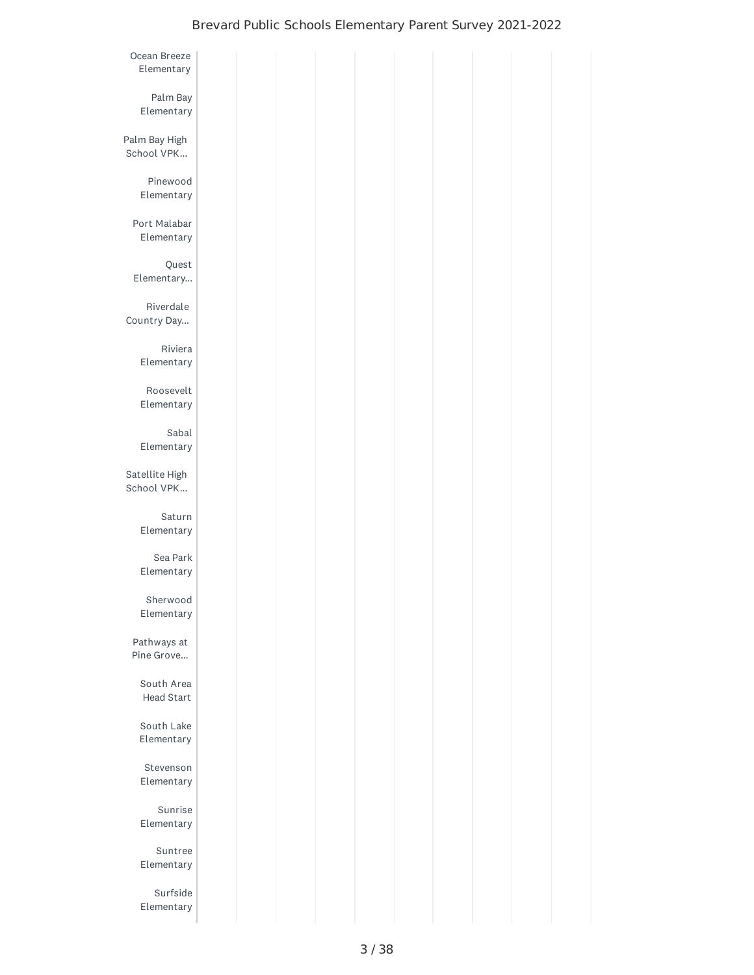| Ocean Breeze<br>Elementary   |  |  |  |  |  |
|------------------------------|--|--|--|--|--|
| Palm Bay<br>Elementary       |  |  |  |  |  |
| Palm Bay High<br>School VPK  |  |  |  |  |  |
| Pinewood<br>Elementary       |  |  |  |  |  |
| Port Malabar<br>Elementary   |  |  |  |  |  |
| Quest<br>Elementary          |  |  |  |  |  |
| Riverdale<br>Country Day     |  |  |  |  |  |
| Riviera<br>Elementary        |  |  |  |  |  |
| Roosevelt<br>Elementary      |  |  |  |  |  |
| Sabal<br>Elementary          |  |  |  |  |  |
| Satellite High<br>School VPK |  |  |  |  |  |
| Saturn<br>Elementary         |  |  |  |  |  |
| Sea Park<br>Elementary       |  |  |  |  |  |
| Sherwood<br>Elementary       |  |  |  |  |  |
| Pathways at<br>Pine Grove    |  |  |  |  |  |
| South Area<br>Head Start     |  |  |  |  |  |
| South Lake<br>Elementary     |  |  |  |  |  |
| Stevenson<br>Elementary      |  |  |  |  |  |
| Sunrise<br>Elementary        |  |  |  |  |  |
| Suntree<br>Elementary        |  |  |  |  |  |
| Surfside<br>Elementary       |  |  |  |  |  |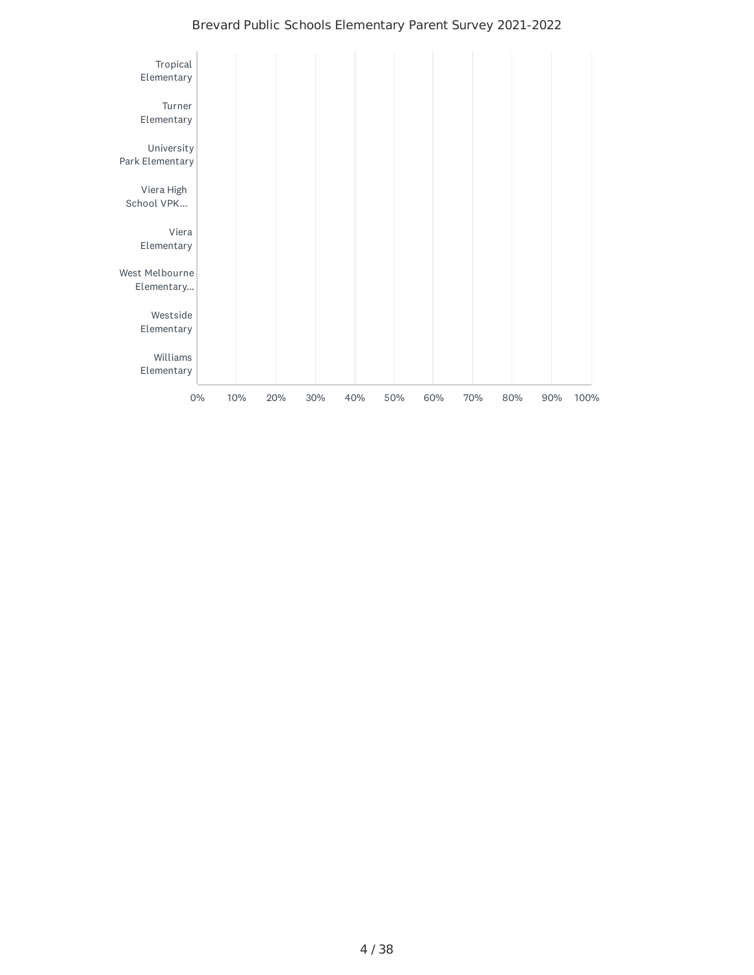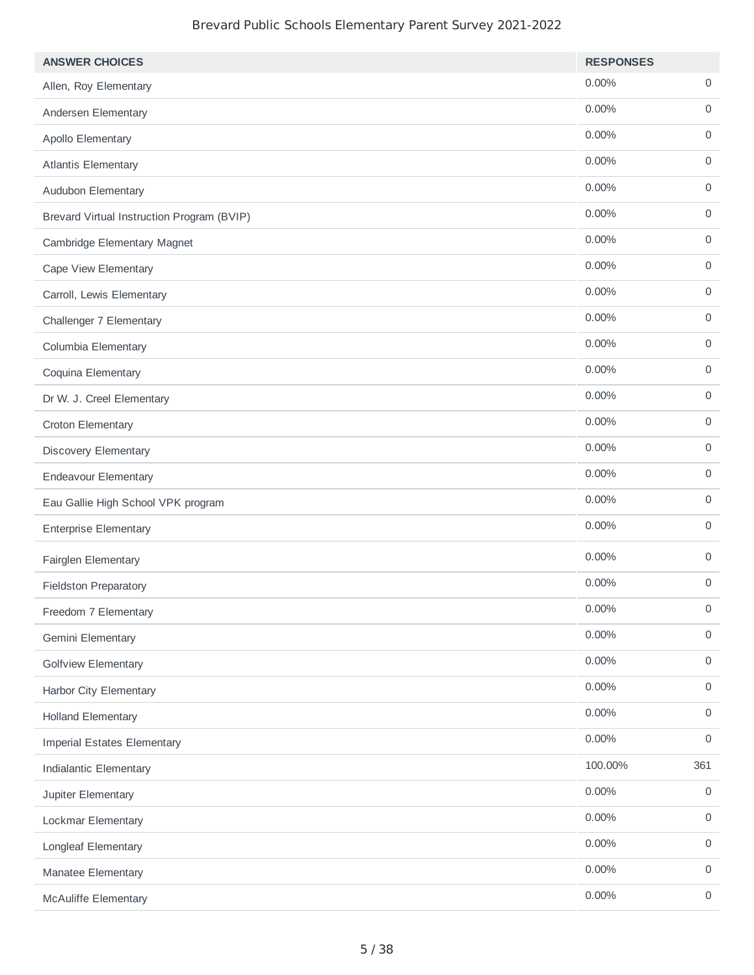| <b>ANSWER CHOICES</b>                      | <b>RESPONSES</b> |                     |
|--------------------------------------------|------------------|---------------------|
| Allen, Roy Elementary                      | 0.00%            | 0                   |
| Andersen Elementary                        | 0.00%            | 0                   |
| Apollo Elementary                          | 0.00%            | $\mathbf 0$         |
| <b>Atlantis Elementary</b>                 | 0.00%            | 0                   |
| Audubon Elementary                         | 0.00%            | 0                   |
| Brevard Virtual Instruction Program (BVIP) | 0.00%            | 0                   |
| Cambridge Elementary Magnet                | 0.00%            | 0                   |
| Cape View Elementary                       | 0.00%            | 0                   |
| Carroll, Lewis Elementary                  | 0.00%            | 0                   |
| Challenger 7 Elementary                    | 0.00%            | 0                   |
| Columbia Elementary                        | $0.00\%$         | $\mathsf{O}\xspace$ |
| Coquina Elementary                         | $0.00\%$         | 0                   |
| Dr W. J. Creel Elementary                  | 0.00%            | $\mathsf{O}\xspace$ |
| Croton Elementary                          | 0.00%            | 0                   |
| Discovery Elementary                       | 0.00%            | $\mathsf{O}\xspace$ |
| <b>Endeavour Elementary</b>                | 0.00%            | $\mathsf{O}\xspace$ |
| Eau Gallie High School VPK program         | 0.00%            | $\mathsf{O}$        |
| <b>Enterprise Elementary</b>               | 0.00%            | 0                   |
| Fairglen Elementary                        | 0.00%            | $\mathbf 0$         |
| <b>Fieldston Preparatory</b>               | 0.00%            | $\mathbf 0$         |
| Freedom 7 Elementary                       | 0.00%            | $\mathsf{O}\xspace$ |
| Gemini Elementary                          | $0.00\%$         | $\mathsf{O}$        |
| <b>Golfview Elementary</b>                 | $0.00\%$         | $\mathsf{O}\xspace$ |
| Harbor City Elementary                     | $0.00\%$         | $\mathsf{O}$        |
| <b>Holland Elementary</b>                  | $0.00\%$         | $\mathsf{O}\xspace$ |
| <b>Imperial Estates Elementary</b>         | $0.00\%$         | $\mathsf{O}$        |
| Indialantic Elementary                     | 100.00%          | 361                 |
| Jupiter Elementary                         | $0.00\%$         | $\mathsf{O}$        |
| Lockmar Elementary                         | 0.00%            | $\mathsf{O}\xspace$ |
| Longleaf Elementary                        | 0.00%            | $\mathsf{O}$        |
| Manatee Elementary                         | 0.00%            | $\mathsf{O}$        |
| McAuliffe Elementary                       | $0.00\%$         | $\mathsf{O}$        |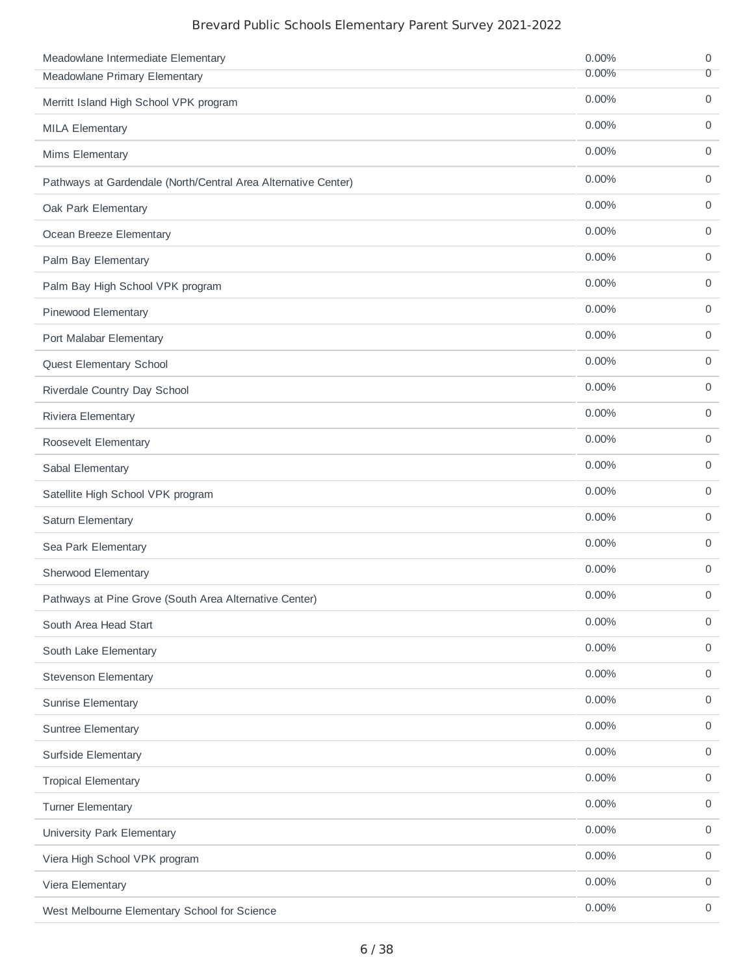| Meadowlane Intermediate Elementary                             | 0.00%    | 0                   |
|----------------------------------------------------------------|----------|---------------------|
| Meadowlane Primary Elementary                                  | 0.00%    | $\overline{0}$      |
| Merritt Island High School VPK program                         | 0.00%    | $\mathsf{O}$        |
| <b>MILA Elementary</b>                                         | 0.00%    | 0                   |
| Mims Elementary                                                | 0.00%    | $\mathsf{O}$        |
| Pathways at Gardendale (North/Central Area Alternative Center) | 0.00%    | 0                   |
| Oak Park Elementary                                            | 0.00%    | 0                   |
| Ocean Breeze Elementary                                        | 0.00%    | 0                   |
| Palm Bay Elementary                                            | 0.00%    | 0                   |
| Palm Bay High School VPK program                               | 0.00%    | $\mathbf 0$         |
| Pinewood Elementary                                            | 0.00%    | 0                   |
| Port Malabar Elementary                                        | 0.00%    | $\mathbf 0$         |
| Quest Elementary School                                        | 0.00%    | 0                   |
| Riverdale Country Day School                                   | 0.00%    | $\mathbf 0$         |
| Riviera Elementary                                             | 0.00%    | 0                   |
| Roosevelt Elementary                                           | 0.00%    | $\mathsf{O}$        |
| Sabal Elementary                                               | 0.00%    | 0                   |
| Satellite High School VPK program                              | 0.00%    | $\mathsf{O}$        |
| Saturn Elementary                                              | 0.00%    | $\mathsf{O}$        |
| Sea Park Elementary                                            | 0.00%    | $\mathsf{O}$        |
| Sherwood Elementary                                            | 0.00%    | 0                   |
| Pathways at Pine Grove (South Area Alternative Center)         | $0.00\%$ | 0                   |
| South Area Head Start                                          | 0.00%    | $\mathsf O$         |
| South Lake Elementary                                          | 0.00%    | $\mathsf O$         |
| <b>Stevenson Elementary</b>                                    | 0.00%    | $\mathsf O$         |
| Sunrise Elementary                                             | 0.00%    | $\mathbf 0$         |
| <b>Suntree Elementary</b>                                      | 0.00%    | $\mathbf 0$         |
| Surfside Elementary                                            | 0.00%    | $\mathsf O$         |
| <b>Tropical Elementary</b>                                     | $0.00\%$ | $\mathbf 0$         |
| <b>Turner Elementary</b>                                       | 0.00%    | $\mathsf O$         |
| University Park Elementary                                     | 0.00%    | $\mathbf 0$         |
| Viera High School VPK program                                  | 0.00%    | 0                   |
| Viera Elementary                                               | 0.00%    | $\mathsf{O}\xspace$ |
| West Melbourne Elementary School for Science                   | 0.00%    | $\mathsf{O}$        |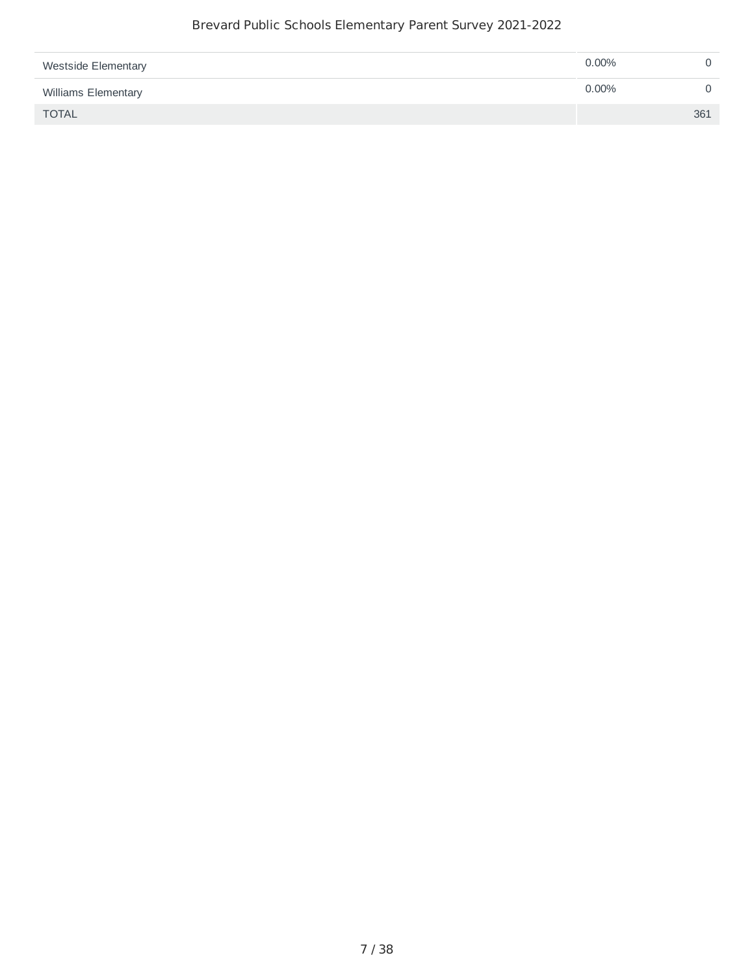| <b>Westside Elementary</b> | $0.00\%$ |     |
|----------------------------|----------|-----|
| Williams Elementary        | $0.00\%$ |     |
| <b>TOTAL</b>               |          | 361 |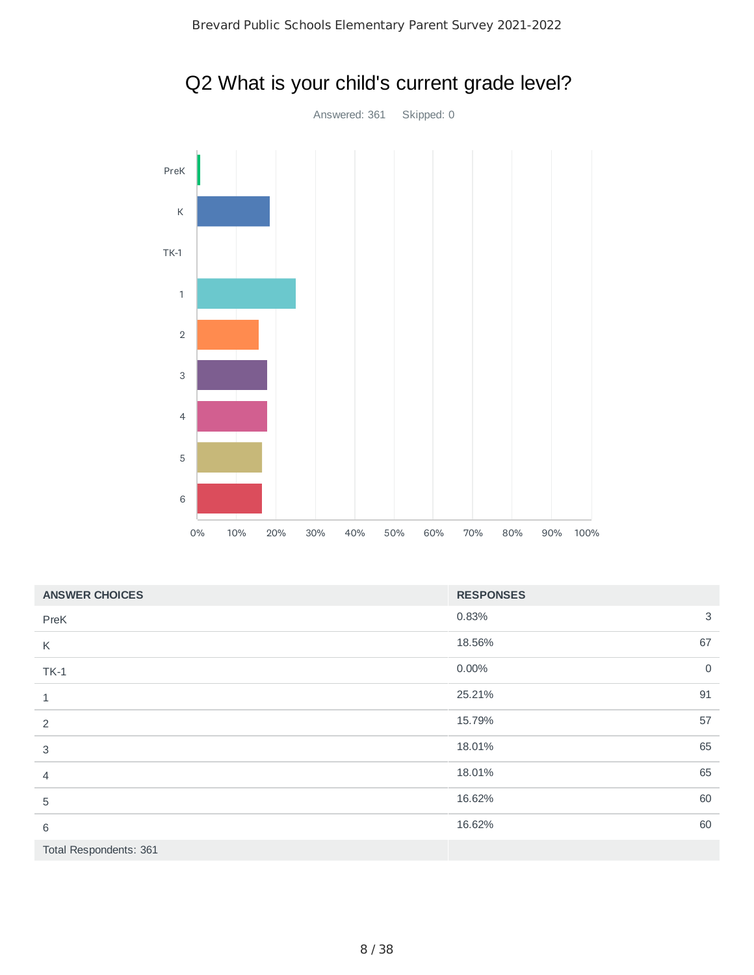

|                           | $\mathbf 5$ |     |     |     |     |     |     |                  |     |      |  |                     |
|---------------------------|-------------|-----|-----|-----|-----|-----|-----|------------------|-----|------|--|---------------------|
|                           | $\,$ 6      |     |     |     |     |     |     |                  |     |      |  |                     |
|                           | $0\%$       | 10% | 20% | 30% | 40% | 50% | 60% | 80%<br>70%       | 90% | 100% |  |                     |
| <b>ANSWER CHOICES</b>     |             |     |     |     |     |     |     | <b>RESPONSES</b> |     |      |  |                     |
| PreK                      |             |     |     |     |     |     |     | 0.83%            |     |      |  | 3                   |
| K                         |             |     |     |     |     |     |     | 18.56%           |     |      |  | 67                  |
| $TK-1$                    |             |     |     |     |     |     |     | 0.00%            |     |      |  | $\mathsf{O}\xspace$ |
| $\mathbf 1$               |             |     |     |     |     |     |     | 25.21%           |     |      |  | 91                  |
| $\overline{c}$            |             |     |     |     |     |     |     | 15.79%           |     |      |  | 57                  |
| $\ensuremath{\mathsf{3}}$ |             |     |     |     |     |     |     | 18.01%           |     |      |  | 65                  |
| $\sqrt{4}$                |             |     |     |     |     |     |     | 18.01%           |     |      |  | 65                  |
| $\mathbf 5$               |             |     |     |     |     |     |     | 16.62%           |     |      |  | 60                  |
| $\,6\,$                   |             |     |     |     |     |     |     | 16.62%           |     |      |  | 60                  |
| Total Respondents: 361    |             |     |     |     |     |     |     |                  |     |      |  |                     |
|                           |             |     |     |     |     |     |     |                  |     |      |  |                     |

## Q2 What is your child's current grade level?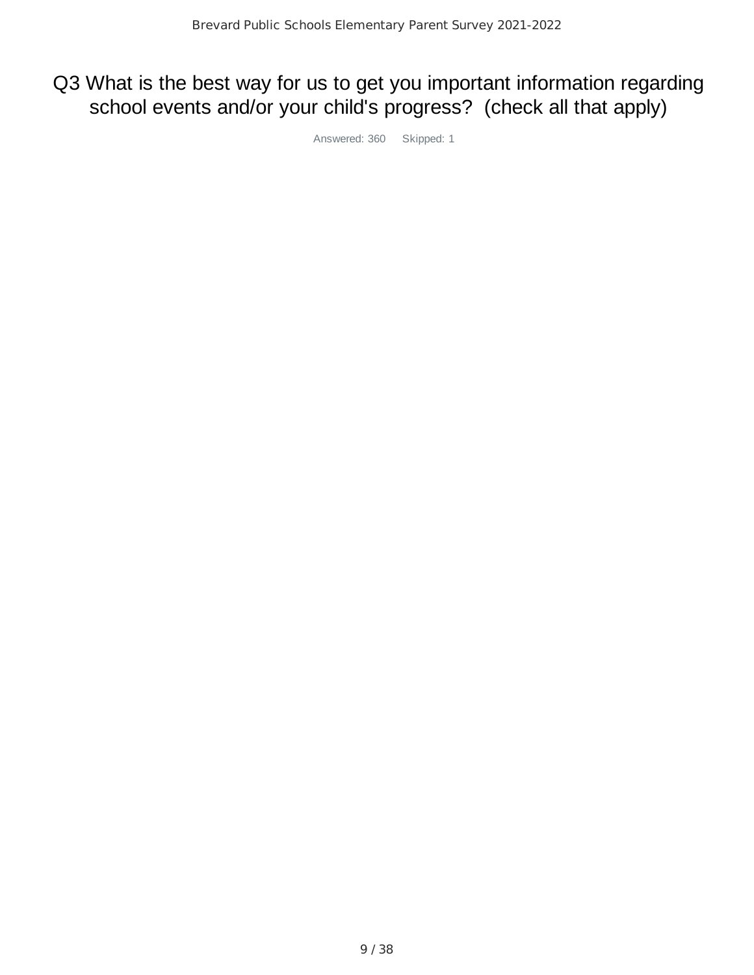## Q3 What is the best way for us to get you important information regarding school events and/or your child's progress? (check all that apply)

Answered: 360 Skipped: 1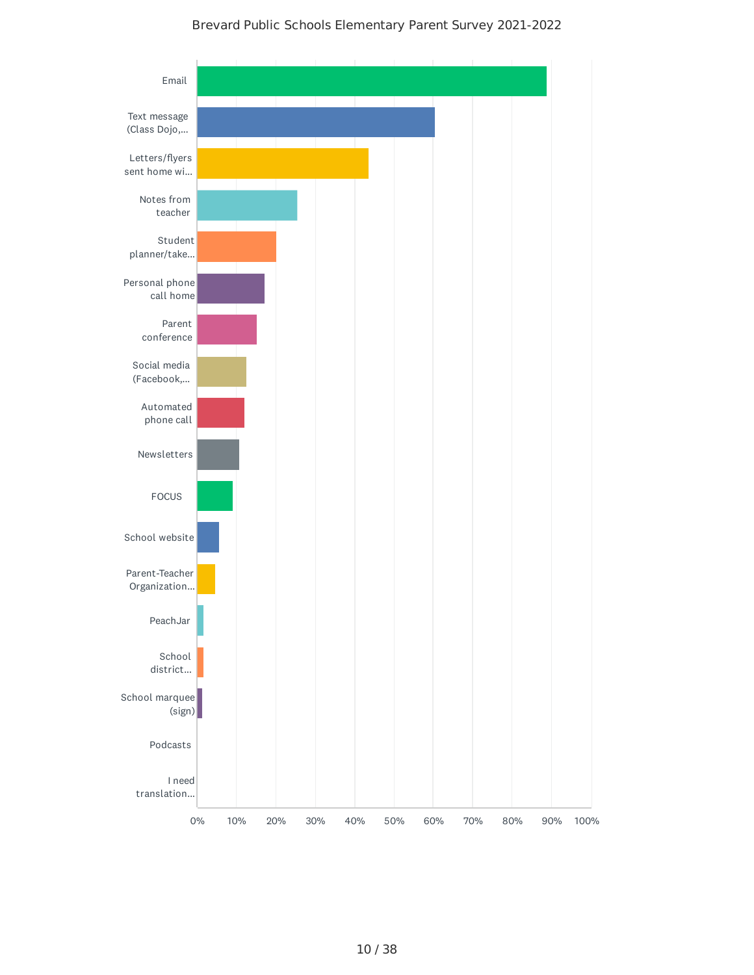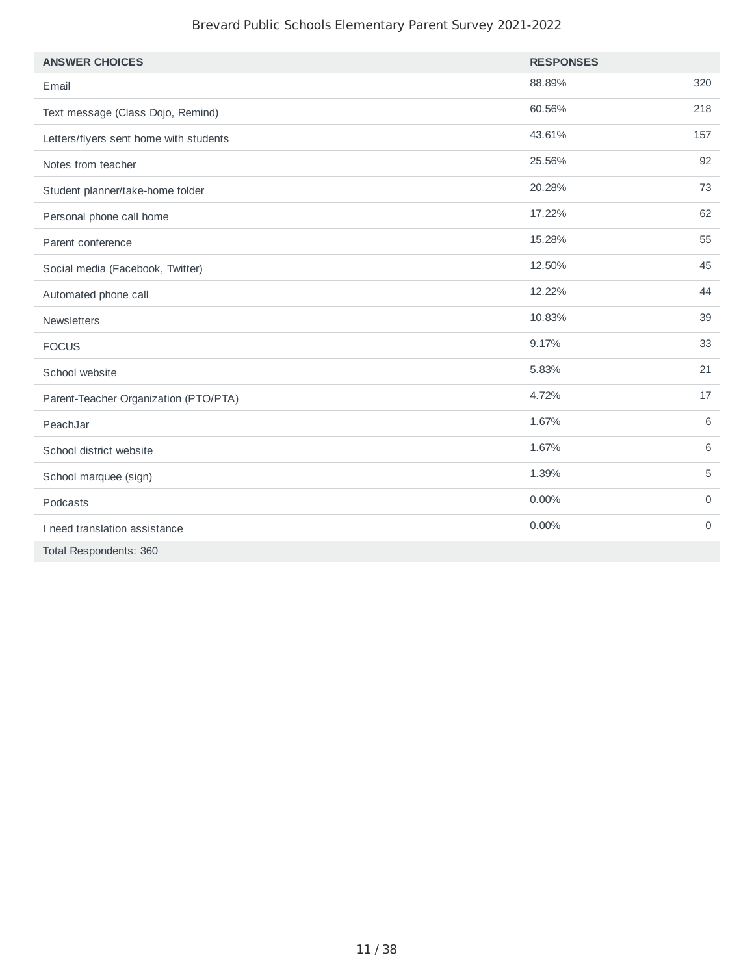| <b>ANSWER CHOICES</b>                  | <b>RESPONSES</b> |                |
|----------------------------------------|------------------|----------------|
| Email                                  | 88.89%           | 320            |
| Text message (Class Dojo, Remind)      | 60.56%           | 218            |
| Letters/flyers sent home with students | 43.61%           | 157            |
| Notes from teacher                     | 25.56%           | 92             |
| Student planner/take-home folder       | 20.28%           | 73             |
| Personal phone call home               | 17.22%           | 62             |
| Parent conference                      | 15.28%           | 55             |
| Social media (Facebook, Twitter)       | 12.50%           | 45             |
| Automated phone call                   | 12.22%           | 44             |
| Newsletters                            | 10.83%           | 39             |
| <b>FOCUS</b>                           | 9.17%            | 33             |
| School website                         | 5.83%            | 21             |
| Parent-Teacher Organization (PTO/PTA)  | 4.72%            | 17             |
| PeachJar                               | 1.67%            | 6              |
| School district website                | 1.67%            | 6              |
| School marquee (sign)                  | 1.39%            | 5              |
| Podcasts                               | 0.00%            | $\mathbf 0$    |
| I need translation assistance          | 0.00%            | $\overline{0}$ |
| Total Respondents: 360                 |                  |                |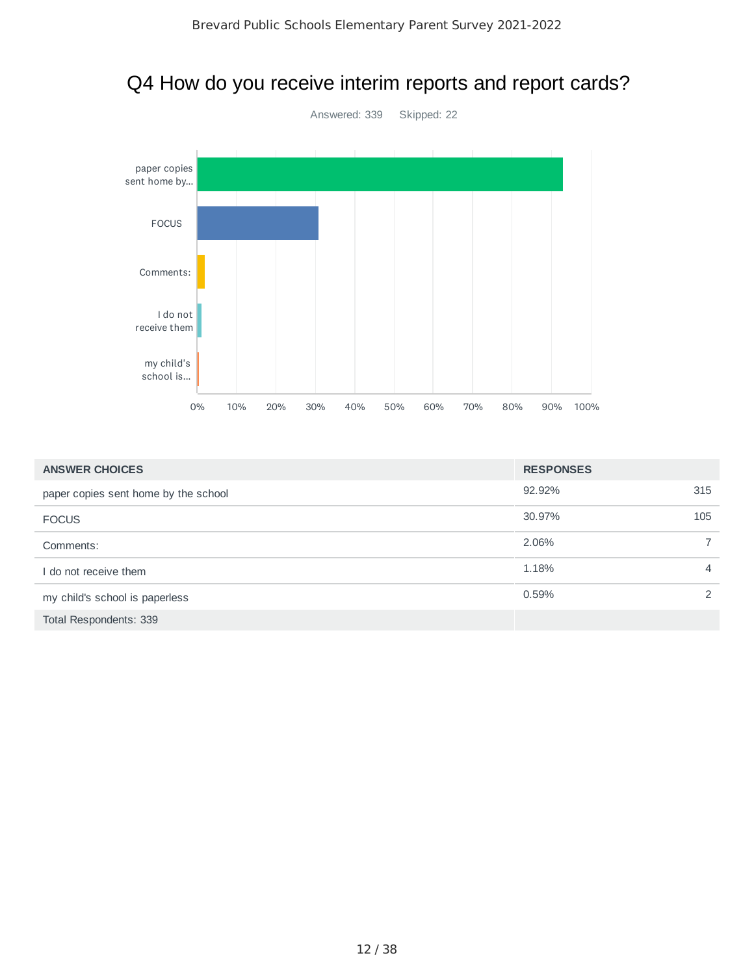### Q4 How do you receive interim reports and report cards?



| <b>ANSWER CHOICES</b>                | <b>RESPONSES</b> |                |
|--------------------------------------|------------------|----------------|
| paper copies sent home by the school | 92.92%           | 315            |
| <b>FOCUS</b>                         | 30.97%           | 105            |
| Comments:                            | 2.06%            | $\overline{7}$ |
| I do not receive them                | 1.18%            | 4              |
| my child's school is paperless       | 0.59%            | $\mathcal{P}$  |
| Total Respondents: 339               |                  |                |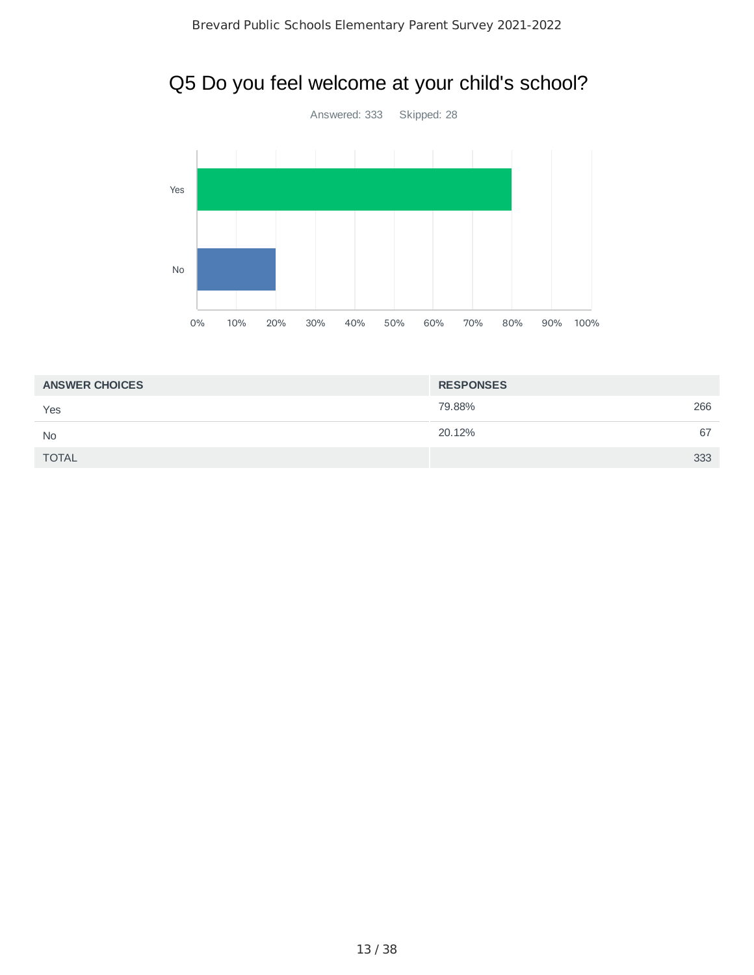## Q5 Do you feel welcome at your child's school?



| <b>ANSWER CHOICES</b> | <b>RESPONSES</b> |     |
|-----------------------|------------------|-----|
| Yes                   | 79.88%           | 266 |
| <b>No</b>             | 20.12%           | 67  |
| <b>TOTAL</b>          |                  | 333 |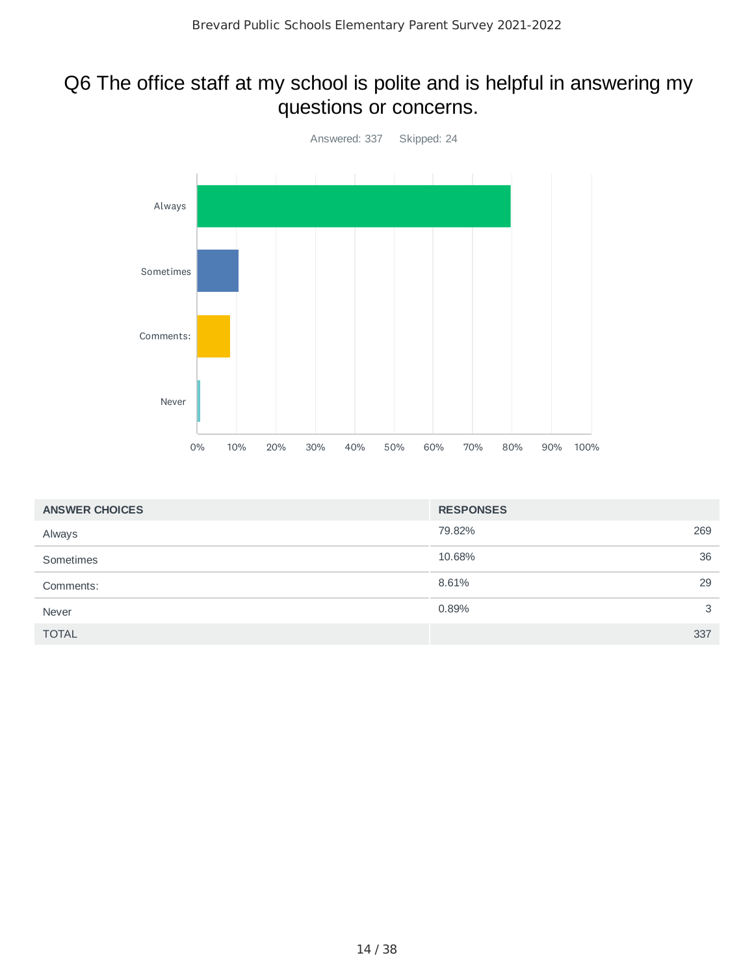## Q6 The office staff at my school is polite and is helpful in answering my questions or concerns.



| <b>ANSWER CHOICES</b> | <b>RESPONSES</b> |     |
|-----------------------|------------------|-----|
| Always                | 79.82%           | 269 |
| Sometimes             | 10.68%           | 36  |
| Comments:             | 8.61%            | 29  |
| Never                 | 0.89%            | 3   |
| <b>TOTAL</b>          |                  | 337 |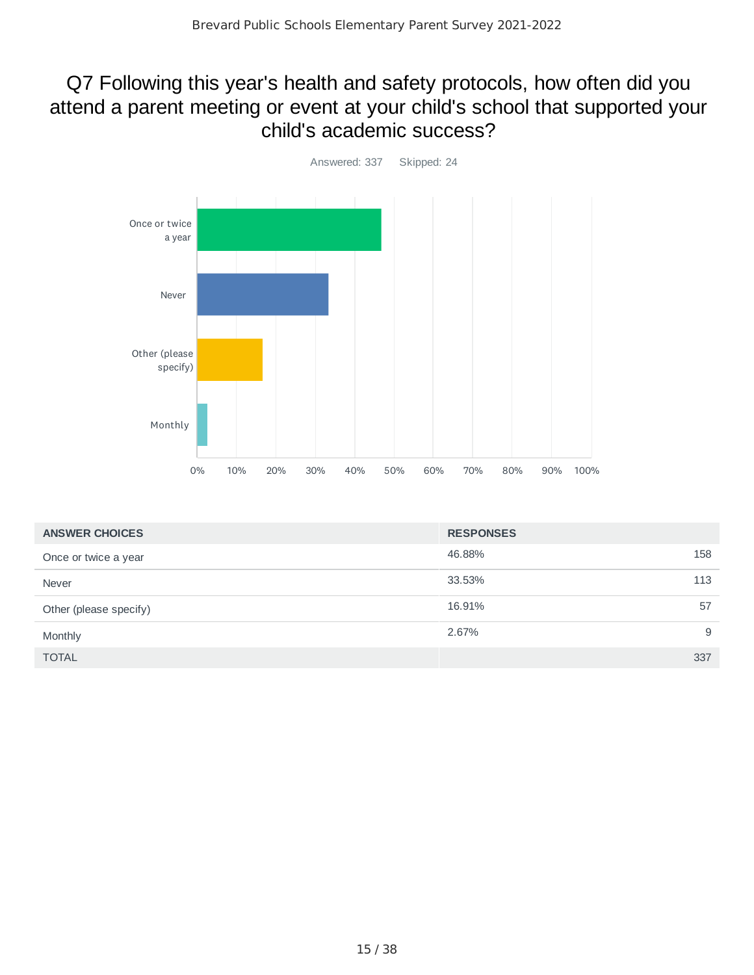### Q7 Following this year's health and safety protocols, how often did you attend a parent meeting or event at your child's school that supported your child's academic success?



| <b>ANSWER CHOICES</b>  | <b>RESPONSES</b> |     |
|------------------------|------------------|-----|
| Once or twice a year   | 46.88%           | 158 |
| Never                  | 33.53%           | 113 |
| Other (please specify) | 16.91%           | 57  |
| Monthly                | 2.67%            | 9   |
| <b>TOTAL</b>           |                  | 337 |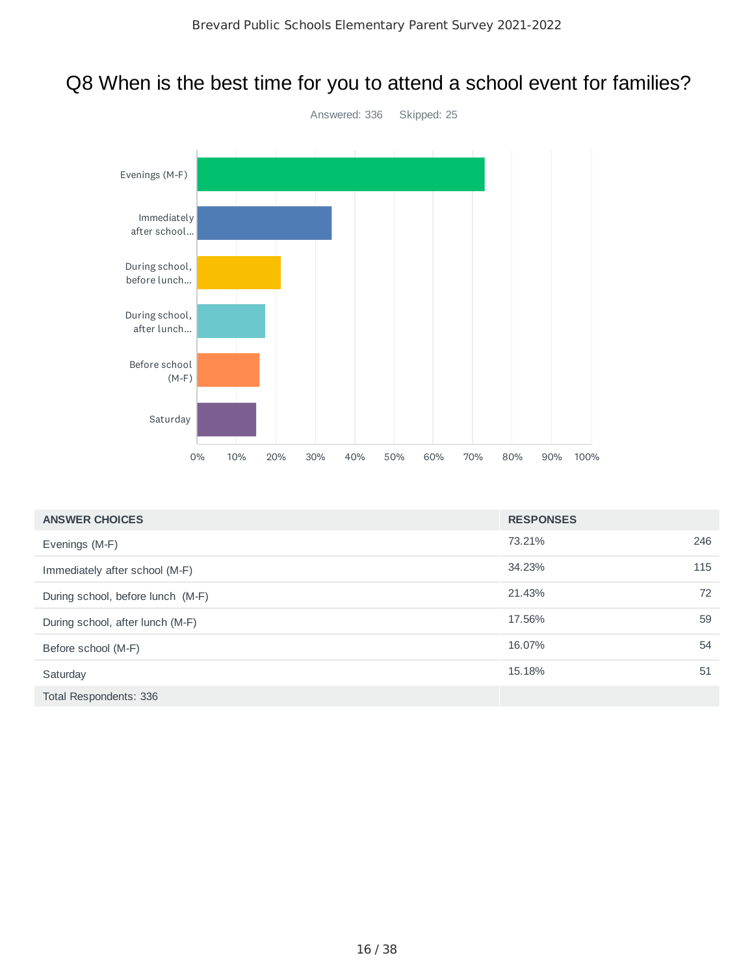## Q8 When is the best time for you to attend a school event for families?



| <b>ANSWER CHOICES</b>             | <b>RESPONSES</b> |     |
|-----------------------------------|------------------|-----|
| Evenings (M-F)                    | 73.21%           | 246 |
| Immediately after school (M-F)    | 34.23%           | 115 |
| During school, before lunch (M-F) | 21.43%           | 72  |
| During school, after lunch (M-F)  | 17.56%           | 59  |
| Before school (M-F)               | 16.07%           | 54  |
| Saturday                          | 15.18%           | 51  |
| Total Respondents: 336            |                  |     |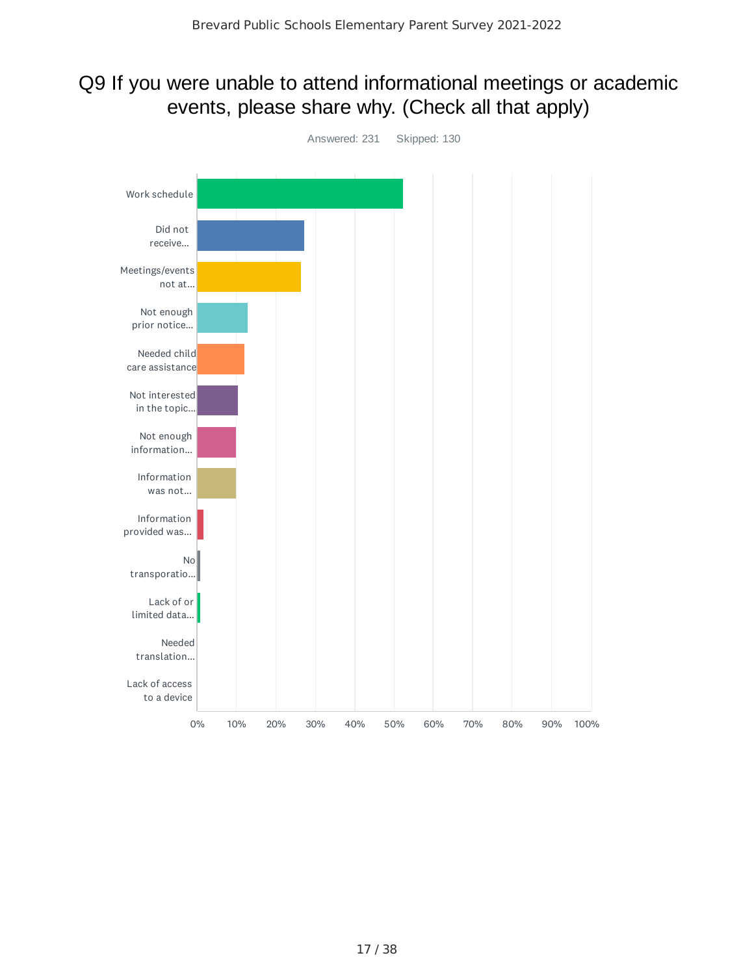## Q9 If you were unable to attend informational meetings or academic events, please share why. (Check all that apply)

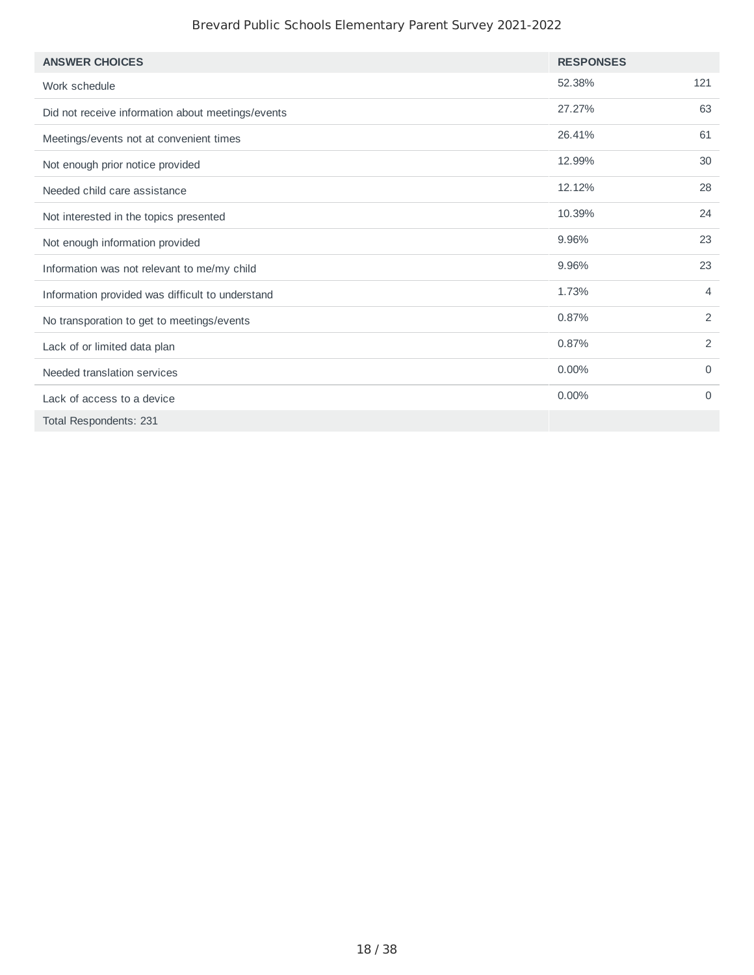| <b>ANSWER CHOICES</b>                             | <b>RESPONSES</b> |                |
|---------------------------------------------------|------------------|----------------|
| Work schedule                                     | 52.38%           | 121            |
| Did not receive information about meetings/events | 27.27%           | 63             |
| Meetings/events not at convenient times           | 26.41%           | 61             |
| Not enough prior notice provided                  | 12.99%           | 30             |
| Needed child care assistance                      | 12.12%           | 28             |
| Not interested in the topics presented            | 10.39%           | 24             |
| Not enough information provided                   | 9.96%            | 23             |
| Information was not relevant to me/my child       | 9.96%            | 23             |
| Information provided was difficult to understand  | 1.73%            | 4              |
| No transporation to get to meetings/events        | 0.87%            | $\overline{2}$ |
| Lack of or limited data plan                      | 0.87%            | 2              |
| Needed translation services                       | 0.00%            | $\mathbf 0$    |
| Lack of access to a device                        | 0.00%            | $\Omega$       |
| Total Respondents: 231                            |                  |                |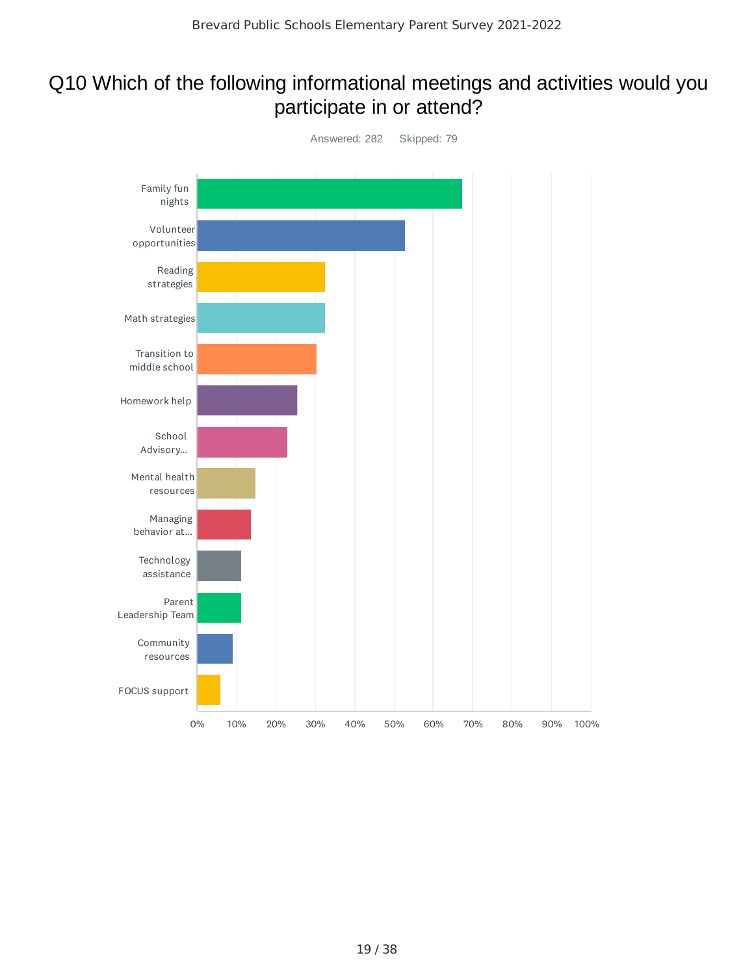## Q10 Which of the following informational meetings and activities would you participate in or attend?

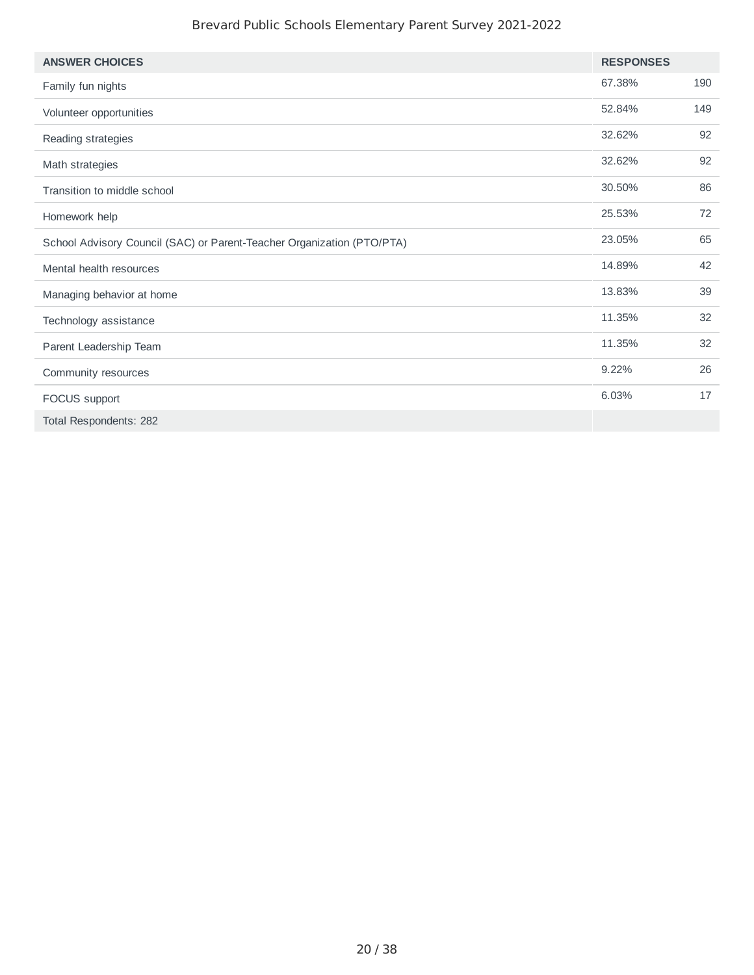| <b>ANSWER CHOICES</b>                                                  | <b>RESPONSES</b> |     |
|------------------------------------------------------------------------|------------------|-----|
| Family fun nights                                                      | 67.38%           | 190 |
| Volunteer opportunities                                                | 52.84%           | 149 |
| Reading strategies                                                     | 32.62%           | 92  |
| Math strategies                                                        | 32.62%           | 92  |
| Transition to middle school                                            | 30.50%           | 86  |
| Homework help                                                          | 25.53%           | 72  |
| School Advisory Council (SAC) or Parent-Teacher Organization (PTO/PTA) | 23.05%           | 65  |
| Mental health resources                                                | 14.89%           | 42  |
| Managing behavior at home                                              | 13.83%           | 39  |
| Technology assistance                                                  | 11.35%           | 32  |
| Parent Leadership Team                                                 | 11.35%           | 32  |
| Community resources                                                    | 9.22%            | 26  |
| FOCUS support                                                          | 6.03%            | 17  |
| Total Respondents: 282                                                 |                  |     |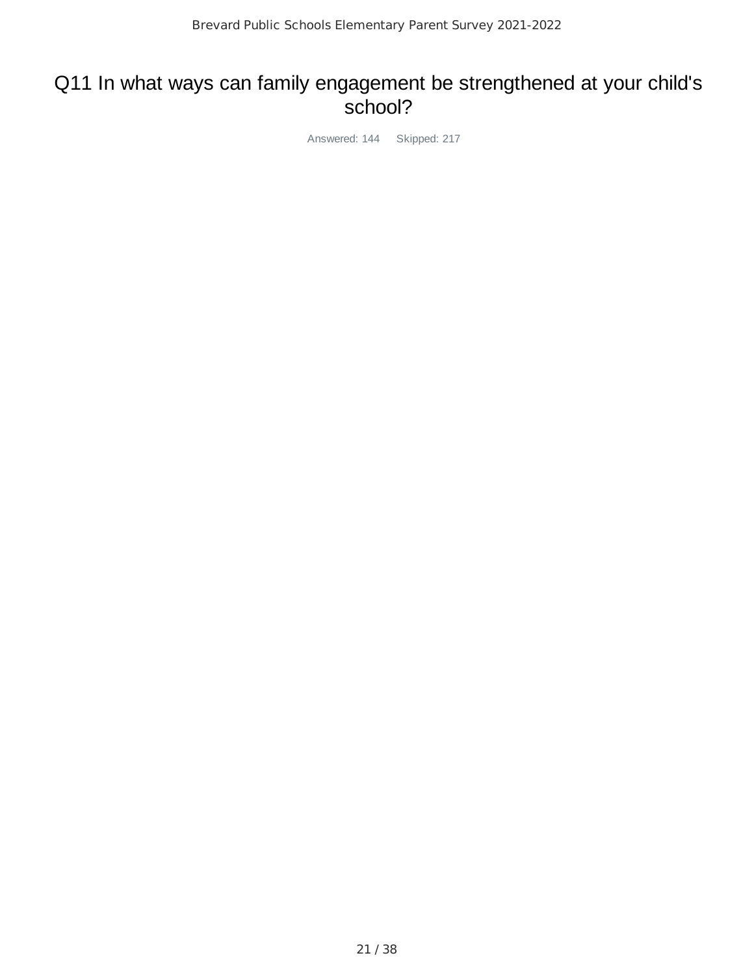### Q11 In what ways can family engagement be strengthened at your child's school?

Answered: 144 Skipped: 217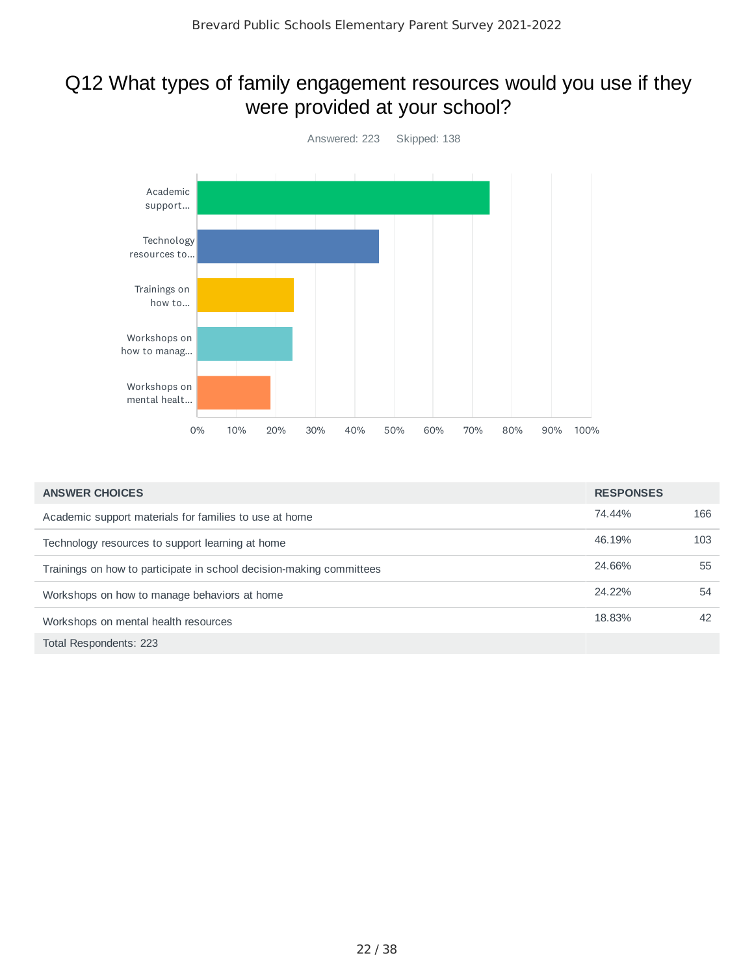### Q12 What types of family engagement resources would you use if they were provided at your school?



| <b>ANSWER CHOICES</b>                                                | <b>RESPONSES</b> |     |
|----------------------------------------------------------------------|------------------|-----|
| Academic support materials for families to use at home               | 74.44%           | 166 |
| Technology resources to support learning at home                     | 46.19%           | 103 |
| Trainings on how to participate in school decision-making committees | 24.66%           | 55  |
| Workshops on how to manage behaviors at home                         | 24.22%           | 54  |
| Workshops on mental health resources                                 | 18.83%           | 42  |
| Total Respondents: 223                                               |                  |     |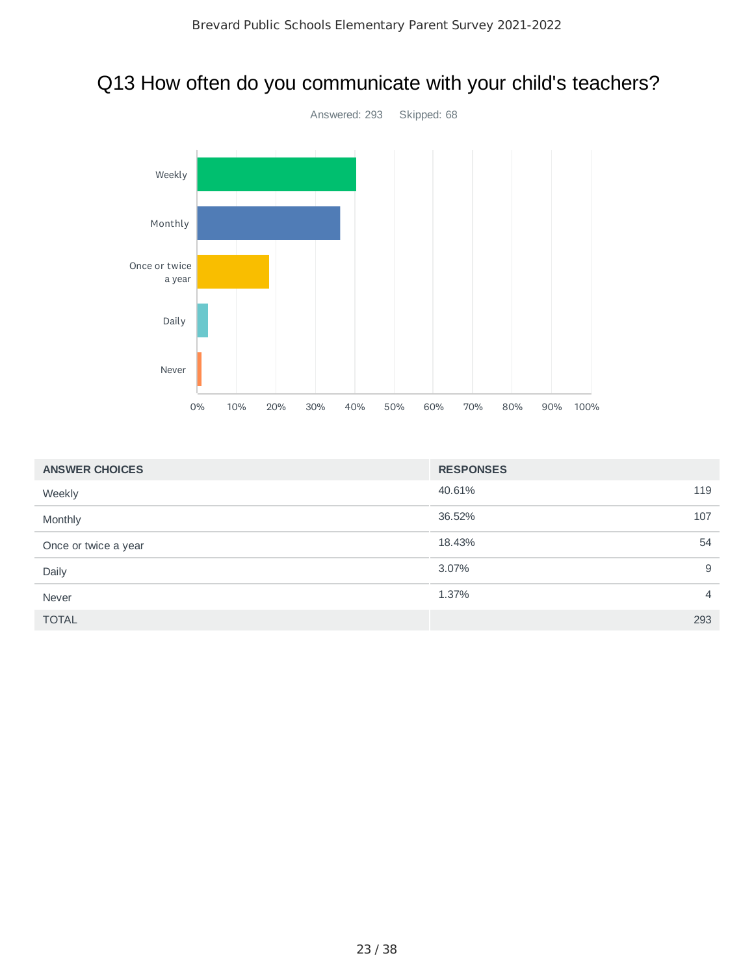## Q13 How often do you communicate with your child's teachers?



| <b>ANSWER CHOICES</b> | <b>RESPONSES</b> |                |
|-----------------------|------------------|----------------|
| Weekly                | 40.61%           | 119            |
| Monthly               | 36.52%           | 107            |
| Once or twice a year  | 18.43%           | 54             |
| Daily                 | 3.07%            | 9              |
| Never                 | 1.37%            | $\overline{4}$ |
| <b>TOTAL</b>          |                  | 293            |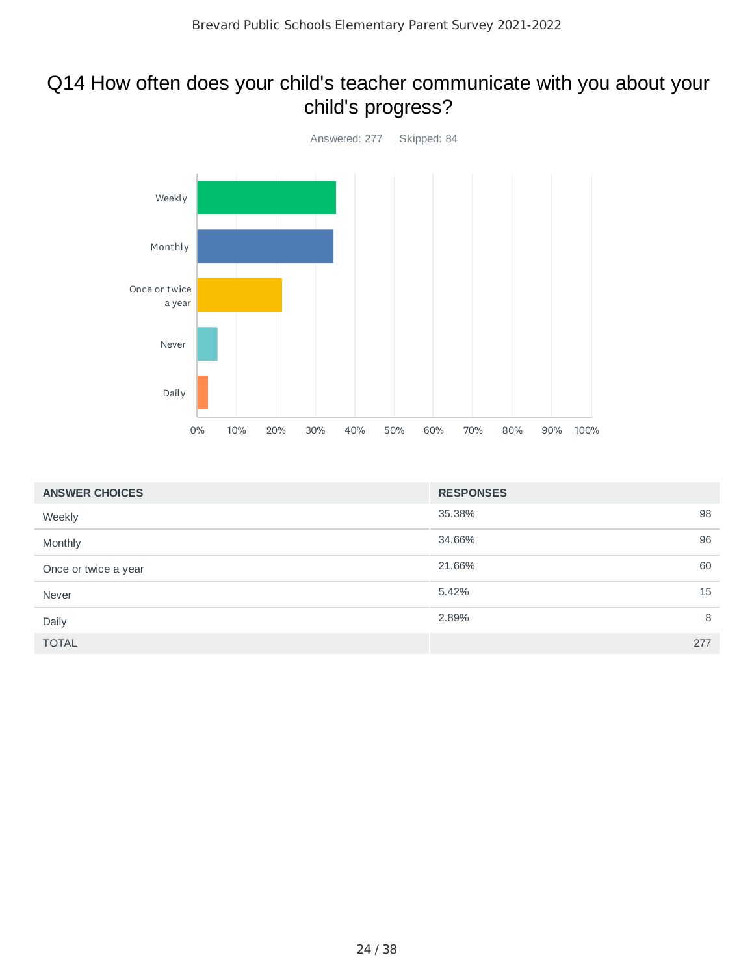## Q14 How often does your child's teacher communicate with you about your child's progress?



| <b>ANSWER CHOICES</b> | <b>RESPONSES</b> |     |
|-----------------------|------------------|-----|
| Weekly                | 35.38%           | 98  |
| Monthly               | 34.66%           | 96  |
| Once or twice a year  | 21.66%           | 60  |
| Never                 | 5.42%            | 15  |
| Daily                 | 2.89%            | 8   |
| <b>TOTAL</b>          |                  | 277 |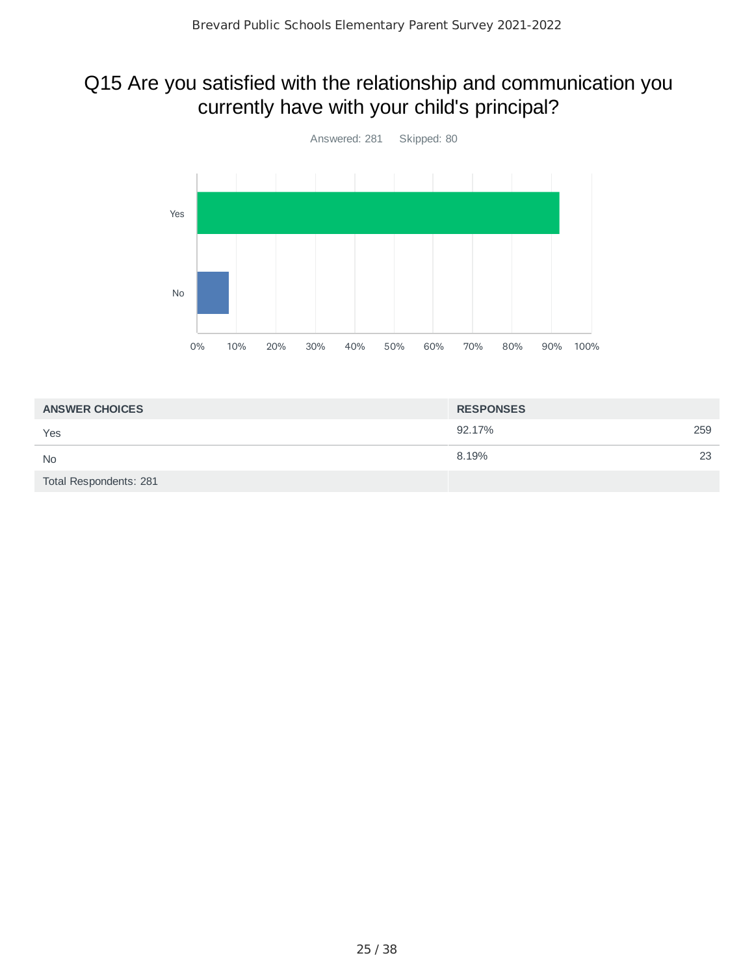## Q15 Are you satisfied with the relationship and communication you currently have with your child's principal?



| <b>ANSWER CHOICES</b>  | <b>RESPONSES</b> |    |
|------------------------|------------------|----|
| Yes                    | 92.17%<br>259    |    |
| <b>No</b>              | 8.19%            | 23 |
| Total Respondents: 281 |                  |    |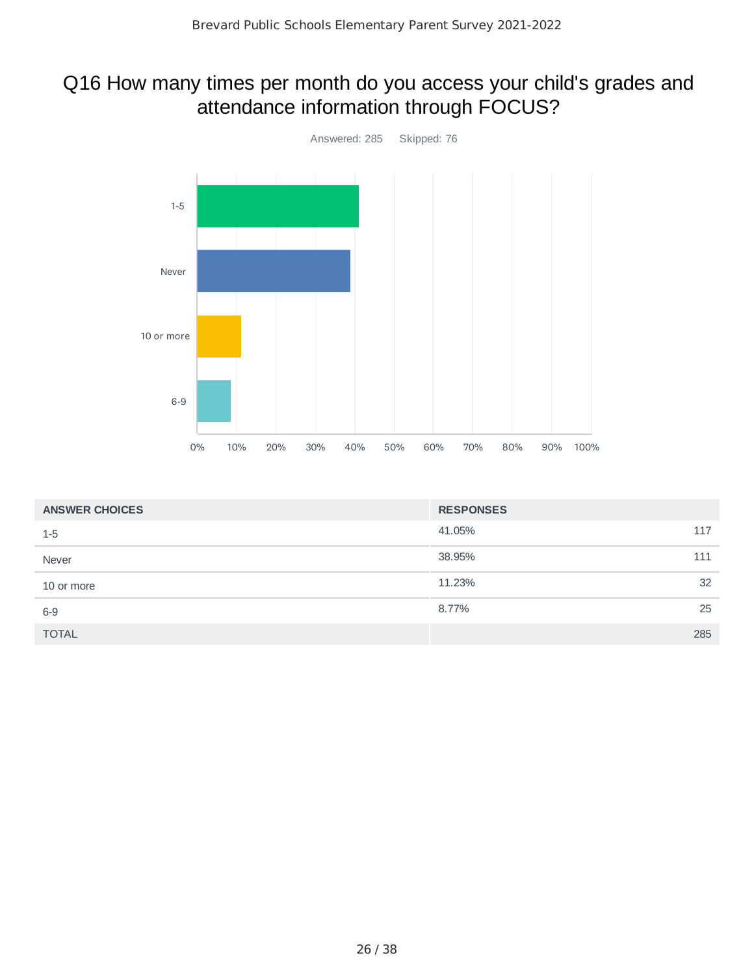## Q16 How many times per month do you access your child's grades and attendance information through FOCUS?



| <b>ANSWER CHOICES</b> | <b>RESPONSES</b> |     |
|-----------------------|------------------|-----|
| $1 - 5$               | 41.05%           | 117 |
| Never                 | 38.95%           | 111 |
| 10 or more            | 11.23%           | 32  |
| $6-9$                 | 8.77%            | 25  |
| <b>TOTAL</b>          |                  | 285 |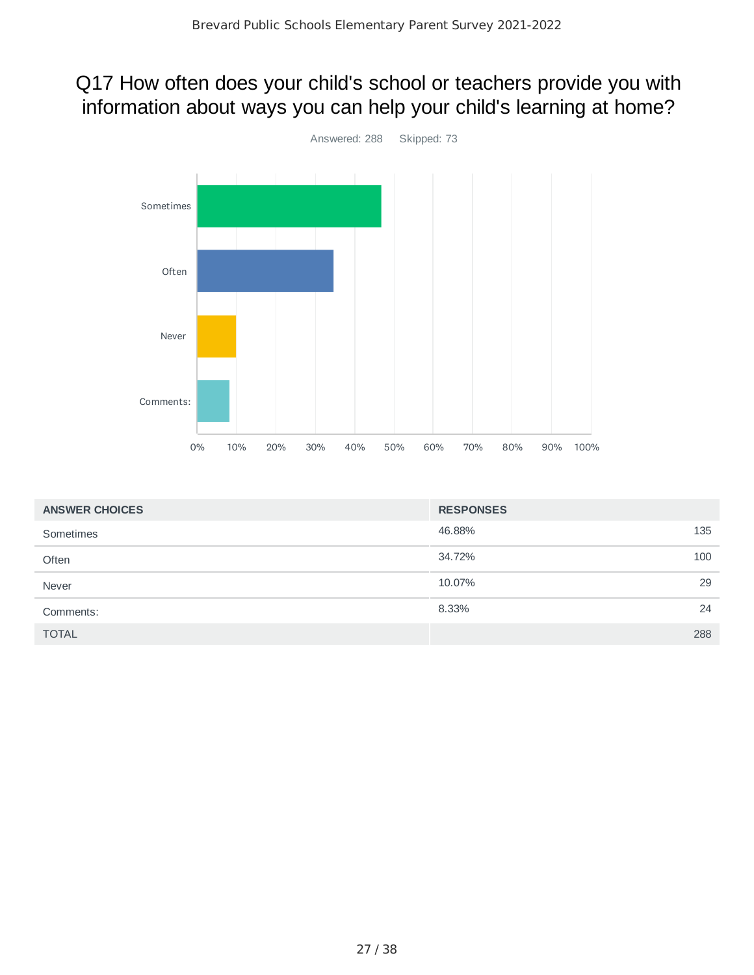## Q17 How often does your child's school or teachers provide you with information about ways you can help your child's learning at home?



| <b>ANSWER CHOICES</b> | <b>RESPONSES</b> |     |
|-----------------------|------------------|-----|
| Sometimes             | 46.88%           | 135 |
| Often                 | 34.72%           | 100 |
| Never                 | 10.07%           | 29  |
| Comments:             | 8.33%            | 24  |
| <b>TOTAL</b>          |                  | 288 |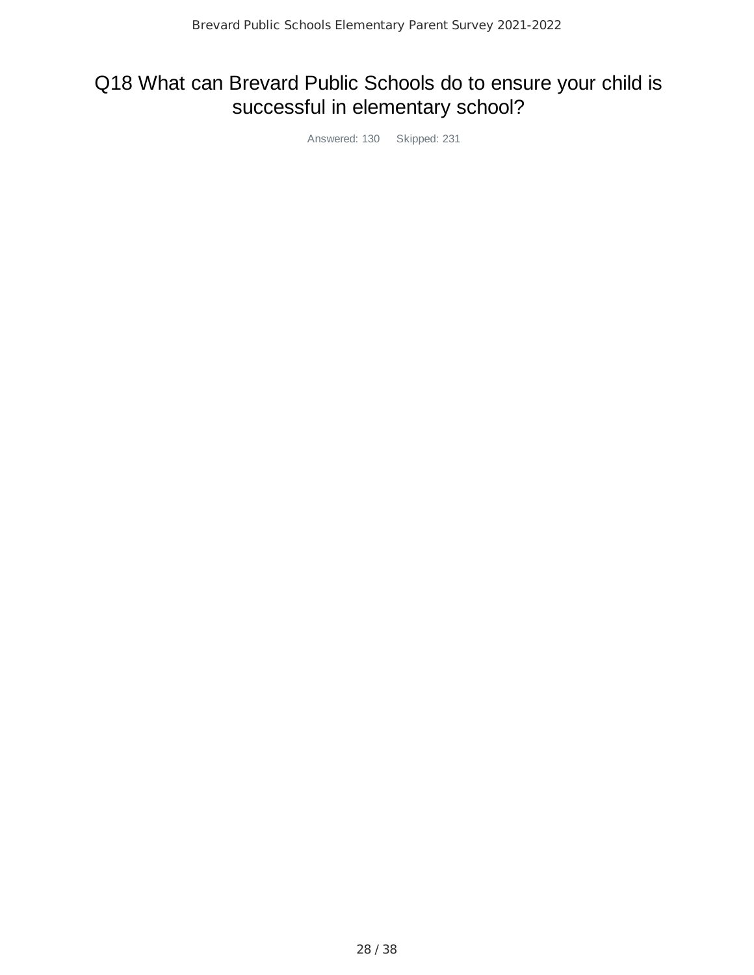## Q18 What can Brevard Public Schools do to ensure your child is successful in elementary school?

Answered: 130 Skipped: 231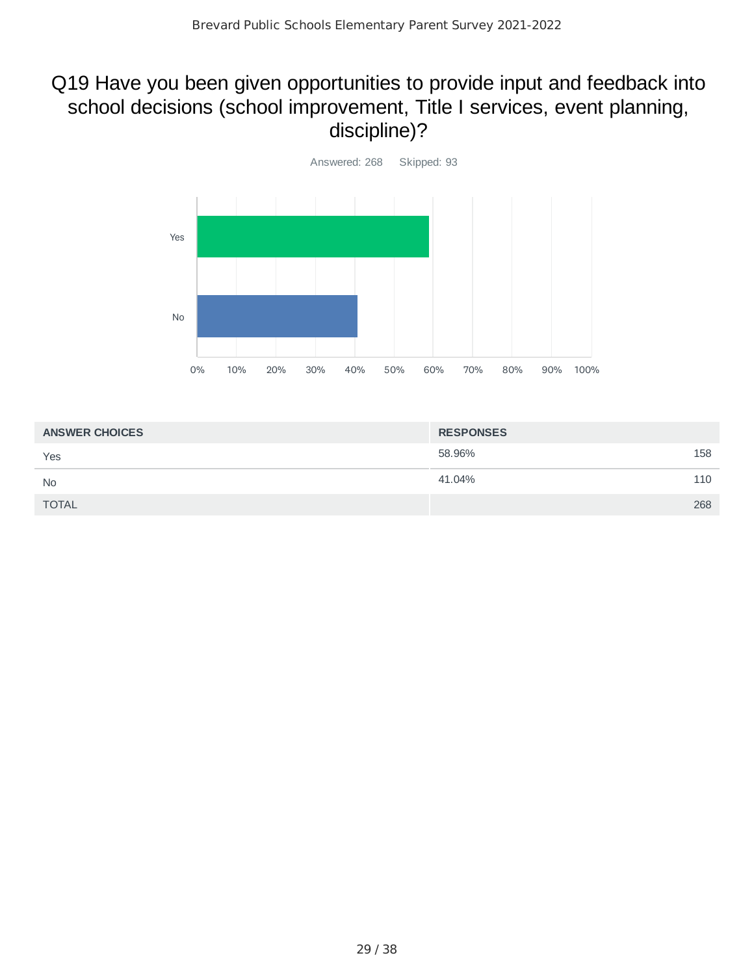## Q19 Have you been given opportunities to provide input and feedback into school decisions (school improvement, Title I services, event planning, discipline)?



| <b>ANSWER CHOICES</b> | <b>RESPONSES</b> |     |
|-----------------------|------------------|-----|
| Yes                   | 58.96%           | 158 |
| <b>No</b>             | 41.04%           | 110 |
| <b>TOTAL</b>          |                  | 268 |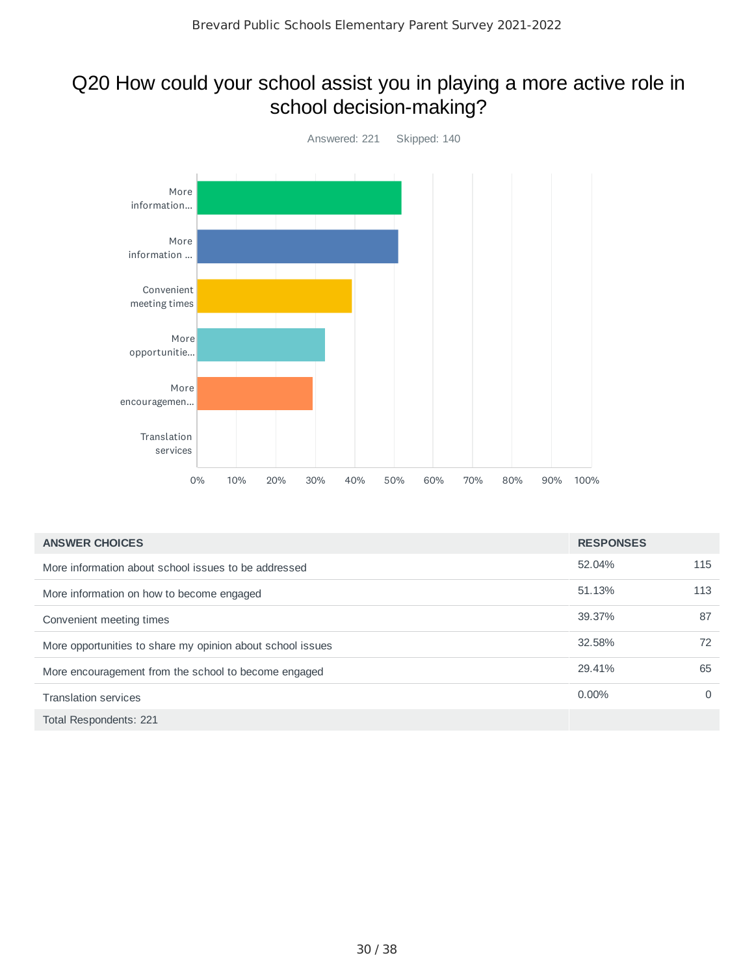## Q20 How could your school assist you in playing a more active role in school decision-making?



| <b>ANSWER CHOICES</b>                                      | <b>RESPONSES</b> |          |
|------------------------------------------------------------|------------------|----------|
| More information about school issues to be addressed       | 52.04%           | 115      |
| More information on how to become engaged                  | 51.13%           | 113      |
| Convenient meeting times                                   | 39.37%           | 87       |
| More opportunities to share my opinion about school issues | 32.58%           | 72       |
| More encouragement from the school to become engaged       | 29.41%           | 65       |
| <b>Translation services</b>                                | $0.00\%$         | $\Omega$ |
| Total Respondents: 221                                     |                  |          |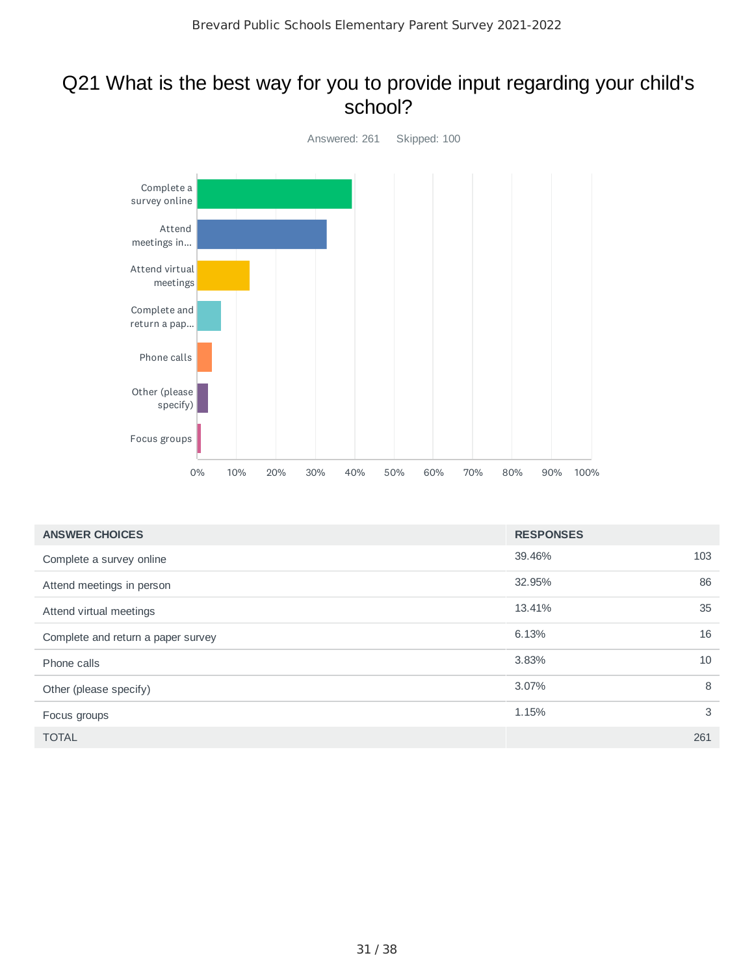### Q21 What is the best way for you to provide input regarding your child's school?



| <b>ANSWER CHOICES</b>              | <b>RESPONSES</b> |     |
|------------------------------------|------------------|-----|
| Complete a survey online           | 39.46%           | 103 |
| Attend meetings in person          | 32.95%           | 86  |
| Attend virtual meetings            | 13.41%           | 35  |
| Complete and return a paper survey | 6.13%            | 16  |
| Phone calls                        | 3.83%            | 10  |
| Other (please specify)             | 3.07%            | 8   |
| Focus groups                       | 1.15%            | 3   |
| <b>TOTAL</b>                       |                  | 261 |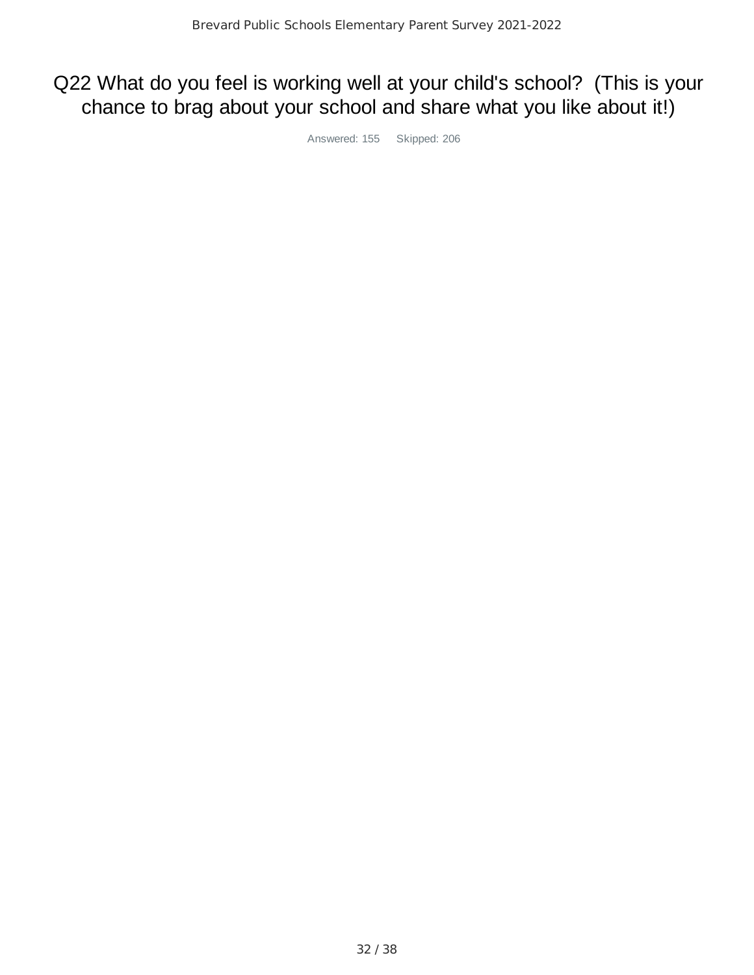## Q22 What do you feel is working well at your child's school? (This is your chance to brag about your school and share what you like about it!)

Answered: 155 Skipped: 206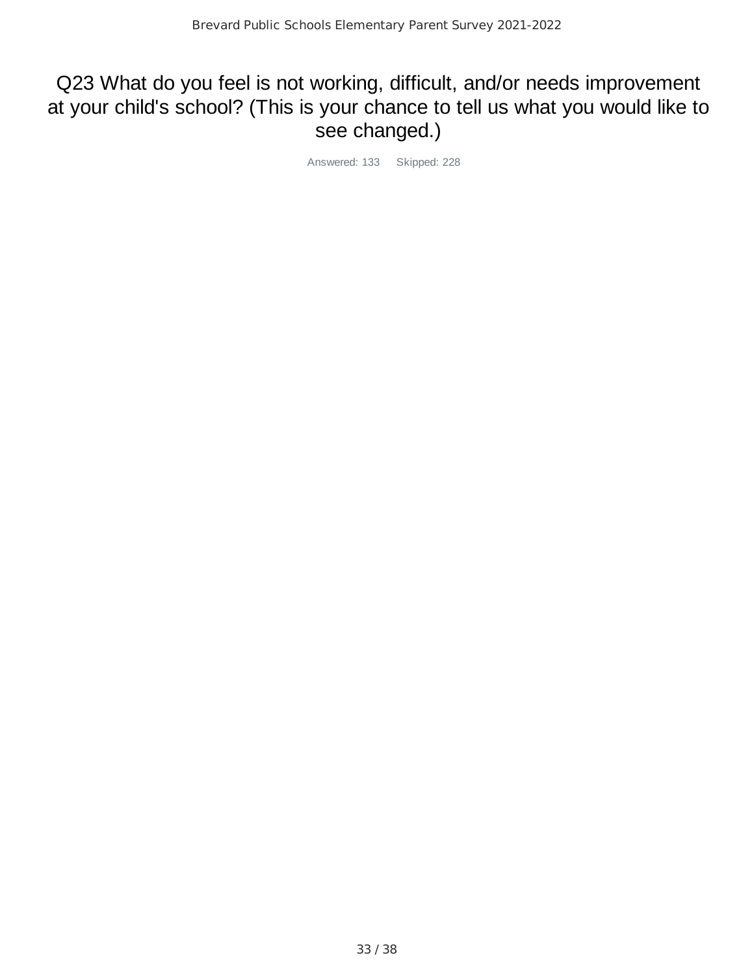## Q23 What do you feel is not working, difficult, and/or needs improvement at your child's school? (This is your chance to tell us what you would like to see changed.)

Answered: 133 Skipped: 228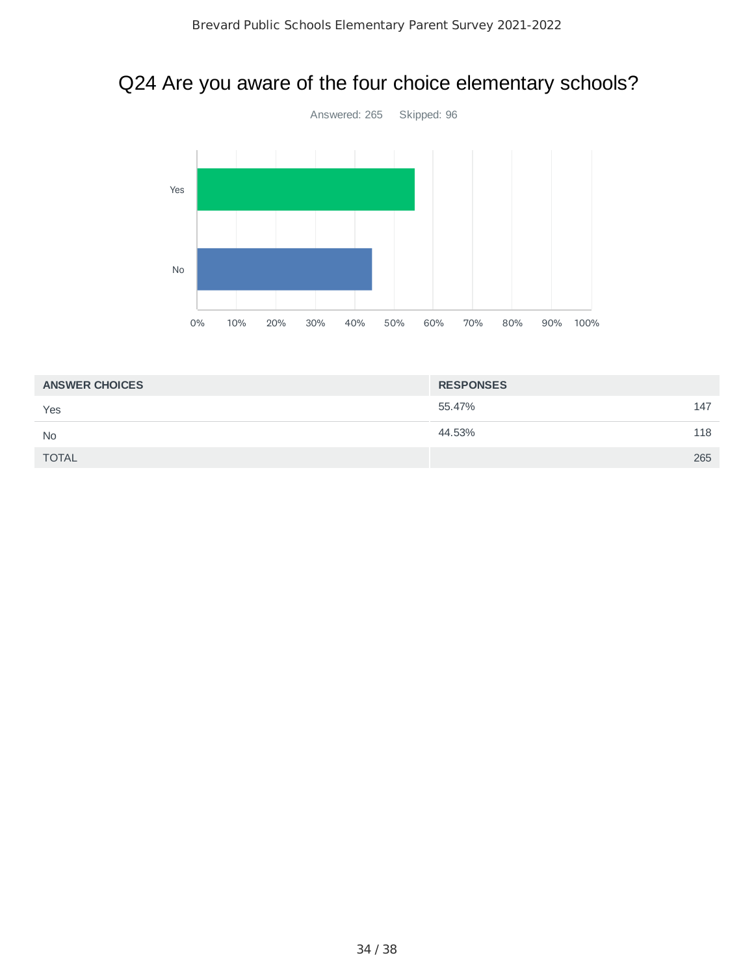# Q24 Are you aware of the four choice elementary schools?



| <b>ANSWER CHOICES</b> | <b>RESPONSES</b> |     |
|-----------------------|------------------|-----|
| Yes                   | 55.47%           | 147 |
| <b>No</b>             | 44.53%           | 118 |
| <b>TOTAL</b>          |                  | 265 |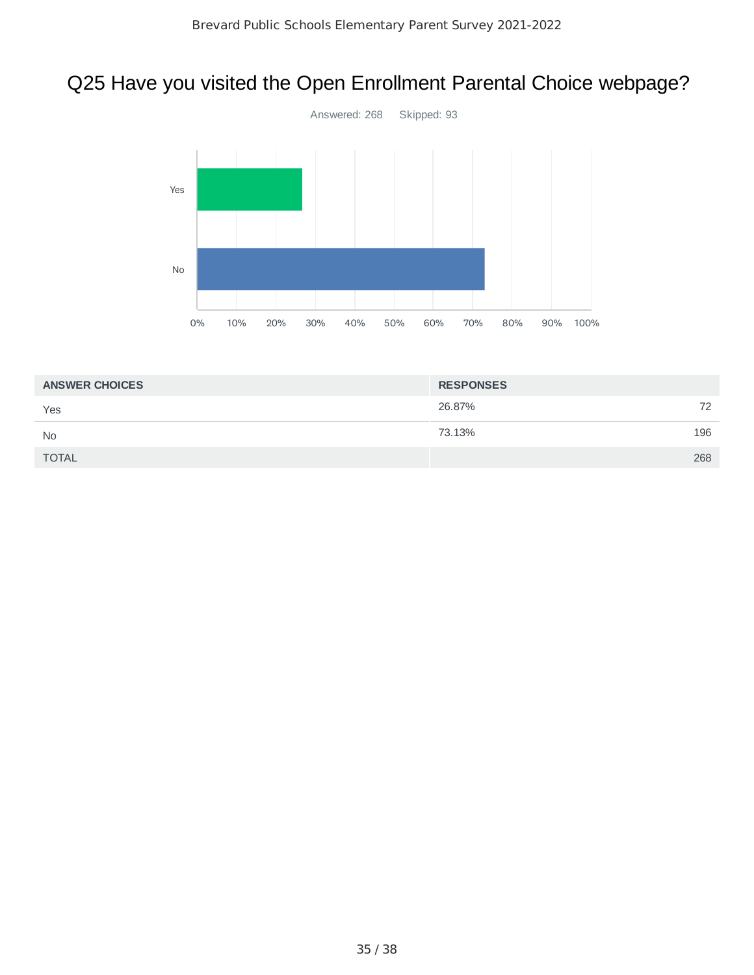# Q25 Have you visited the Open Enrollment Parental Choice webpage?



| <b>ANSWER CHOICES</b> | <b>RESPONSES</b> |     |
|-----------------------|------------------|-----|
| Yes                   | 26.87%           | 72  |
| <b>No</b>             | 73.13%           | 196 |
| <b>TOTAL</b>          |                  | 268 |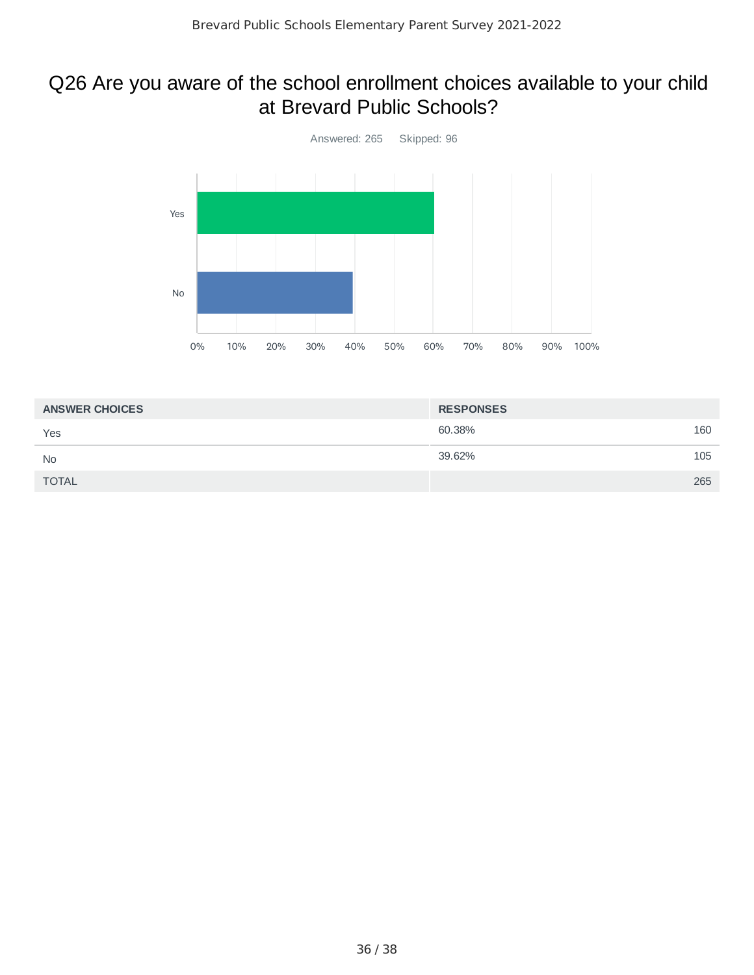### Q26 Are you aware of the school enrollment choices available to your child at Brevard Public Schools?



| <b>ANSWER CHOICES</b> | <b>RESPONSES</b> |     |
|-----------------------|------------------|-----|
| Yes                   | 60.38%           | 160 |
| <b>No</b>             | 39.62%           | 105 |
| <b>TOTAL</b>          |                  | 265 |
|                       |                  |     |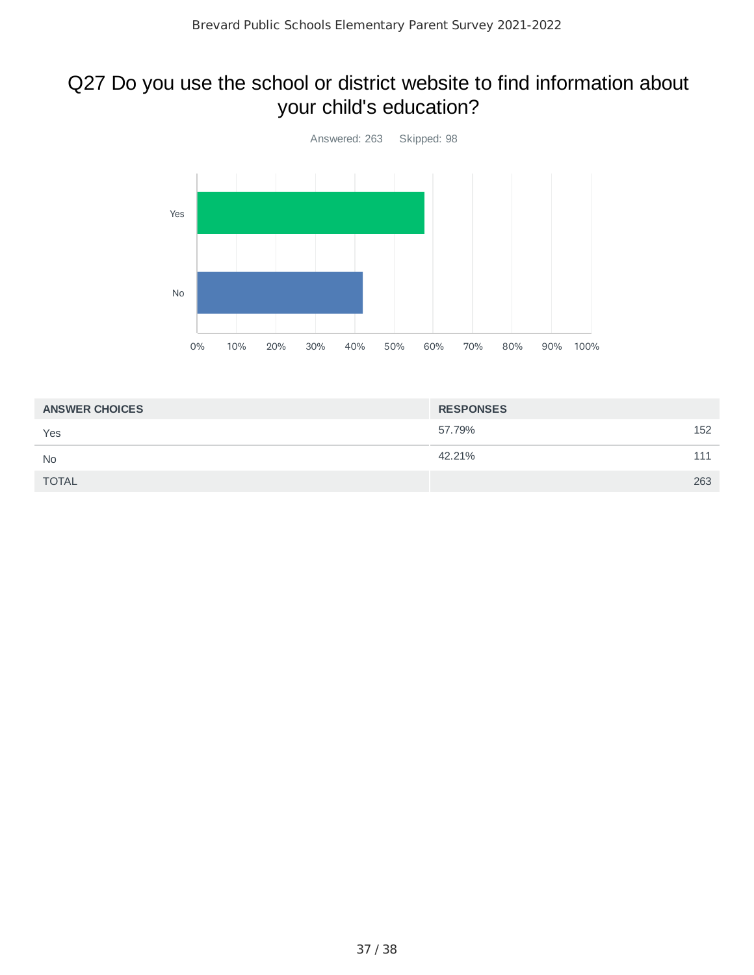## Q27 Do you use the school or district website to find information about your child's education?



| <b>ANSWER CHOICES</b> | <b>RESPONSES</b> |     |
|-----------------------|------------------|-----|
| Yes                   | 57.79%           | 152 |
| <b>No</b>             | 42.21%           | 111 |
| <b>TOTAL</b>          |                  | 263 |
|                       |                  |     |